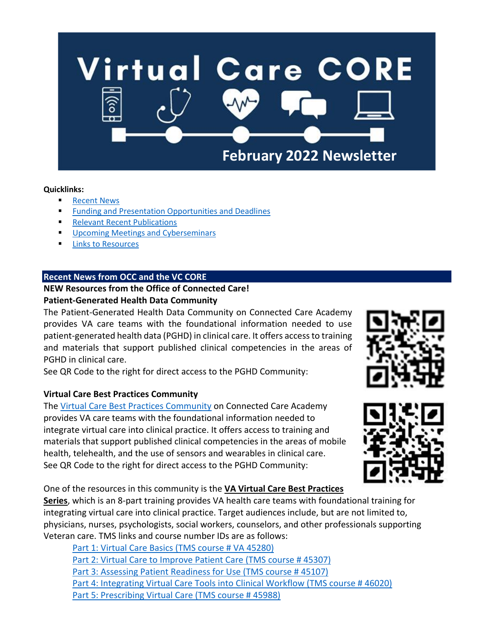

#### **Quicklinks:**

- **[Recent News](#page-0-0)**
- **[Funding and Presentation Opportunities and](#page-1-0) Deadlines**
- **[Relevant Recent Publications](#page-2-0)**
- **■** [Upcoming Meetings and Cyberseminars](#page-3-0)
- [Links to Resources](#page-3-1)

# <span id="page-0-0"></span>**Recent News from OCC and the VC CORE**

# **NEW Resources from the Office of Connected Care! Patient-Generated Health Data Community**

The [Patient-Generated Health Data Community](https://gcc02.safelinks.protection.outlook.com/?url=https%3A%2F%2Fvaots.blackboard.com%2Fwebapps%2Fblackboard%2Fexecute%2Fmodulepage%2Fview%3Fcourse_id%3D_2774_1%26cmp_tab_id%3D_3774_1%26mode%3Dview&data=04%7C01%7C%7Cbcfd3e78d5b84f949e5808d9d78fef12%7Ce95f1b23abaf45ee821db7ab251ab3bf%7C0%7C0%7C637777835452485251%7CUnknown%7CTWFpbGZsb3d8eyJWIjoiMC4wLjAwMDAiLCJQIjoiV2luMzIiLCJBTiI6Ik1haWwiLCJXVCI6Mn0%3D%7C3000&sdata=lqwyPJP0AqfEMwGTjcB3rnug8SNVDnn84oc%2BQg2r3Ig%3D&reserved=0) on Connected Care Academy provides VA care teams with the foundational information needed to use patient-generated health data (PGHD) in clinical care. It offers access to training and materials that support published clinical competencies in the areas of PGHD in clinical care.

See QR Code to the right for direct access to the PGHD Community:

# **Virtual Care Best Practices Community**

The [Virtual Care Best Practices Community](https://gcc02.safelinks.protection.outlook.com/?url=https%3A%2F%2Fvaots.blackboard.com%2Fwebapps%2Fblackboard%2Fexecute%2Fmodulepage%2Fview%3Fcourse_id%3D_2916_1%26cmp_tab_id%3D_4025_1%26mode%3Dview&data=04%7C01%7C%7Cbcfd3e78d5b84f949e5808d9d78fef12%7Ce95f1b23abaf45ee821db7ab251ab3bf%7C0%7C0%7C637777835452485251%7CUnknown%7CTWFpbGZsb3d8eyJWIjoiMC4wLjAwMDAiLCJQIjoiV2luMzIiLCJBTiI6Ik1haWwiLCJXVCI6Mn0%3D%7C3000&sdata=N13601dmMv6I48FhSkUI8TzlXwEmiyZ69wkMvAg0qh8%3D&reserved=0) on Connected Care Academy provides VA care teams with the foundational information needed to integrate virtual care into clinical practice. It offers access to training and materials that support published clinical competencies in the areas of mobile health, telehealth, and the use of sensors and wearables in clinical care. See QR Code to the right for direct access to the PGHD Community:

One of the resources in this community is the **VA Virtual Care Best Practices** 

**Series**, which is an 8-part training provides VA health care teams with foundational training for integrating virtual care into clinical practice. Target audiences include, but are not limited to, physicians, nurses, psychologists, social workers, counselors, and other professionals supporting Veteran care. TMS links and course number IDs are as follows:

[Part 1: Virtual Care Basics \(TMS course # VA 45280\)](https://gcc02.safelinks.protection.outlook.com/?url=https%3A%2F%2Fva-hcm03.ns2cloud.com%2Flearning%2Fuser%2Fcommon%2FviewItemDetails.do%3FOWASP_CSRFTOKEN%3D3MRQ-L7P6-YYGZ-LZ72-4QSM-L8RU-O6JI-U6X4%26componentID%3D45280%26componentTypeID%3DVA%26fromSF%3DY%26revisionDate%3D1626886680000%26menuGroup%3DLearning%26menuItem%3DCur%26fromDeepLink%3Dtrue%26hideItemDetailsBackLink%3Dtrue&data=04%7C01%7C%7Cbcfd3e78d5b84f949e5808d9d78fef12%7Ce95f1b23abaf45ee821db7ab251ab3bf%7C0%7C0%7C637777835452485251%7CUnknown%7CTWFpbGZsb3d8eyJWIjoiMC4wLjAwMDAiLCJQIjoiV2luMzIiLCJBTiI6Ik1haWwiLCJXVCI6Mn0%3D%7C3000&sdata=jXg3qdv%2FET%2F5iqPQcXSMLbw9f27GCaUVLNTXD8CLF0o%3D&reserved=0) [Part 2: Virtual Care to Improve Patient Care \(TMS course # 45307\)](https://gcc02.safelinks.protection.outlook.com/?url=https%3A%2F%2Fva-hcm03.ns2cloud.com%2Flearning%2Fuser%2Fdeeplink.do%3FOWASP_CSRFTOKEN%3D81P8-RU14-0W2W-D13N-4SKI-I4OO-4YLD-YH3Z%26linkId%3DITEM_DETAILS%26componentID%3D45307%26componentTypeID%3DVA%26fromSF%3DY%26revisionDate%3D1626981540000&data=04%7C01%7C%7Cbcfd3e78d5b84f949e5808d9d78fef12%7Ce95f1b23abaf45ee821db7ab251ab3bf%7C0%7C0%7C637777835452485251%7CUnknown%7CTWFpbGZsb3d8eyJWIjoiMC4wLjAwMDAiLCJQIjoiV2luMzIiLCJBTiI6Ik1haWwiLCJXVCI6Mn0%3D%7C3000&sdata=5emMXQIrdlCSUJ%2FSOFKhQtiJ3Wt57ylF2p5H2e3cLhg%3D&reserved=0) [Part 3: Assessing Patient Readiness for Use \(TMS course # 45107\)](https://gcc02.safelinks.protection.outlook.com/?url=https%3A%2F%2Fva-hcm03.ns2cloud.com%2Flearning%2Fuser%2Fdeeplink.do%3FOWASP_CSRFTOKEN%3D81P8-RU14-0W2W-D13N-4SKI-I4OO-4YLD-YH3Z%26linkId%3DITEM_DETAILS%26componentID%3D45107%26componentTypeID%3DVA%26fromSF%3DY%26revisionDate%3D1625247360000&data=04%7C01%7C%7Cbcfd3e78d5b84f949e5808d9d78fef12%7Ce95f1b23abaf45ee821db7ab251ab3bf%7C0%7C0%7C637777835452485251%7CUnknown%7CTWFpbGZsb3d8eyJWIjoiMC4wLjAwMDAiLCJQIjoiV2luMzIiLCJBTiI6Ik1haWwiLCJXVCI6Mn0%3D%7C3000&sdata=H7rzhaZUFwDyQ483eABUdCQ952yqVq9kpS9q4Pxqj28%3D&reserved=0) [Part 4: Integrating Virtual Care Tools into Clinical Workflow \(TMS course # 46020\)](https://gcc02.safelinks.protection.outlook.com/?url=https%3A%2F%2Fva-hcm03.ns2cloud.com%2Flearning%2Fuser%2Fdeeplink.do%3FOWASP_CSRFTOKEN%3D81P8-RU14-0W2W-D13N-4SKI-I4OO-4YLD-YH3Z%26linkId%3DITEM_DETAILS%26componentID%3D46020%26componentTypeID%3DVA%26fromSF%3DY%26revisionDate%3D1633111080000&data=04%7C01%7C%7Cbcfd3e78d5b84f949e5808d9d78fef12%7Ce95f1b23abaf45ee821db7ab251ab3bf%7C0%7C0%7C637777835452485251%7CUnknown%7CTWFpbGZsb3d8eyJWIjoiMC4wLjAwMDAiLCJQIjoiV2luMzIiLCJBTiI6Ik1haWwiLCJXVCI6Mn0%3D%7C3000&sdata=RygH5FNsxDDJ912wJ2GC4L1xDeRLBiQM4ERELTrtlmw%3D&reserved=0) [Part 5: Prescribing Virtual Care \(TMS course # 45988\)](https://gcc02.safelinks.protection.outlook.com/?url=https%3A%2F%2Fva-hcm03.ns2cloud.com%2Flearning%2Fuser%2Fdeeplink.do%3FOWASP_CSRFTOKEN%3D81P8-RU14-0W2W-D13N-4SKI-I4OO-4YLD-YH3Z%26linkId%3DITEM_DETAILS%26componentID%3D45988%26componentTypeID%3DVA%26fromSF%3DY%26revisionDate%3D1632919620000&data=04%7C01%7C%7Cbcfd3e78d5b84f949e5808d9d78fef12%7Ce95f1b23abaf45ee821db7ab251ab3bf%7C0%7C0%7C637777835452485251%7CUnknown%7CTWFpbGZsb3d8eyJWIjoiMC4wLjAwMDAiLCJQIjoiV2luMzIiLCJBTiI6Ik1haWwiLCJXVCI6Mn0%3D%7C3000&sdata=YW13R1ShiAf8QabE2m3nLgT9qP8qiqMRAE8DPPdnOkM%3D&reserved=0)



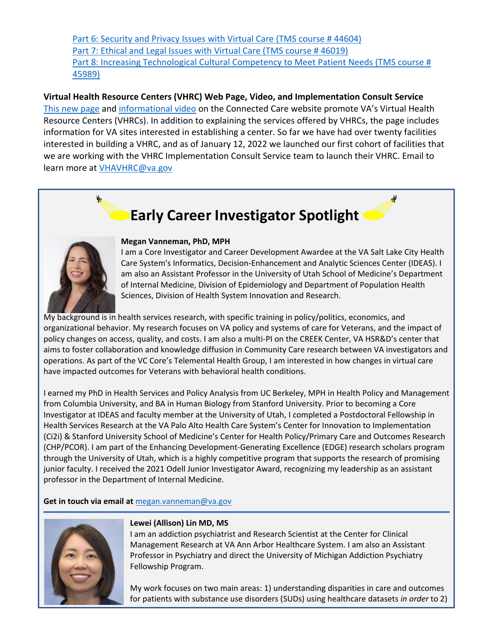[Part 6: Security and Privacy Issues with Virtual Care \(TMS course # 44604\)](https://gcc02.safelinks.protection.outlook.com/?url=https%3A%2F%2Fva-hcm03.ns2cloud.com%2Flearning%2Fuser%2Fdeeplink.do%3FOWASP_CSRFTOKEN%3D81P8-RU14-0W2W-D13N-4SKI-I4OO-4YLD-YH3Z%26linkId%3DITEM_DETAILS%26componentID%3D44064%26componentTypeID%3DVA%26fromSF%3DY%26revisionDate%3D1615315860000&data=04%7C01%7C%7Cbcfd3e78d5b84f949e5808d9d78fef12%7Ce95f1b23abaf45ee821db7ab251ab3bf%7C0%7C0%7C637777835452485251%7CUnknown%7CTWFpbGZsb3d8eyJWIjoiMC4wLjAwMDAiLCJQIjoiV2luMzIiLCJBTiI6Ik1haWwiLCJXVCI6Mn0%3D%7C3000&sdata=COooqTmdSOUsFsW%2BPSMiXnGirYRaI1nZgsgmf3SzbCU%3D&reserved=0) Part 7: Ethical and Legal Issues with Virtual Care (TMS course #46019) [Part 8: Increasing Technological Cultural Competency to Meet Patient Needs \(TMS course #](https://gcc02.safelinks.protection.outlook.com/?url=https%3A%2F%2Fva-hcm03.ns2cloud.com%2Flearning%2Fuser%2Fdeeplink.do%3FOWASP_CSRFTOKEN%3D81P8-RU14-0W2W-D13N-4SKI-I4OO-4YLD-YH3Z%26linkId%3DITEM_DETAILS%26componentID%3D45989%26componentTypeID%3DVA%26fromSF%3DY%26revisionDate%3D1632938340000&data=04%7C01%7C%7Cbcfd3e78d5b84f949e5808d9d78fef12%7Ce95f1b23abaf45ee821db7ab251ab3bf%7C0%7C0%7C637777835452485251%7CUnknown%7CTWFpbGZsb3d8eyJWIjoiMC4wLjAwMDAiLCJQIjoiV2luMzIiLCJBTiI6Ik1haWwiLCJXVCI6Mn0%3D%7C3000&sdata=zXauB9lanZ44iU29erxmkbH9Uw8K%2FGjQeeqlX%2FgmwKk%3D&reserved=0)  [45989\)](https://gcc02.safelinks.protection.outlook.com/?url=https%3A%2F%2Fva-hcm03.ns2cloud.com%2Flearning%2Fuser%2Fdeeplink.do%3FOWASP_CSRFTOKEN%3D81P8-RU14-0W2W-D13N-4SKI-I4OO-4YLD-YH3Z%26linkId%3DITEM_DETAILS%26componentID%3D45989%26componentTypeID%3DVA%26fromSF%3DY%26revisionDate%3D1632938340000&data=04%7C01%7C%7Cbcfd3e78d5b84f949e5808d9d78fef12%7Ce95f1b23abaf45ee821db7ab251ab3bf%7C0%7C0%7C637777835452485251%7CUnknown%7CTWFpbGZsb3d8eyJWIjoiMC4wLjAwMDAiLCJQIjoiV2luMzIiLCJBTiI6Ik1haWwiLCJXVCI6Mn0%3D%7C3000&sdata=zXauB9lanZ44iU29erxmkbH9Uw8K%2FGjQeeqlX%2FgmwKk%3D&reserved=0)

**Virtual Health Resource Centers (VHRC) Web Page, Video, and Implementation Consult Service**  [This new page](https://gcc02.safelinks.protection.outlook.com/?url=https%3A%2F%2Fconnectedcare.va.gov%2Fvirtual-health-resource-centers&data=04%7C01%7C%7Cbcfd3e78d5b84f949e5808d9d78fef12%7Ce95f1b23abaf45ee821db7ab251ab3bf%7C0%7C0%7C637777835452485251%7CUnknown%7CTWFpbGZsb3d8eyJWIjoiMC4wLjAwMDAiLCJQIjoiV2luMzIiLCJBTiI6Ik1haWwiLCJXVCI6Mn0%3D%7C3000&sdata=oNsttNsvdm5WJH%2B2Dz889yS9zkW1krzLZ2jgSlLNd94%3D&reserved=0) and [informational video](https://gcc02.safelinks.protection.outlook.com/?url=https%3A%2F%2Fyoutu.be%2F3FzIRJc79Sc&data=04%7C01%7C%7Cbcfd3e78d5b84f949e5808d9d78fef12%7Ce95f1b23abaf45ee821db7ab251ab3bf%7C0%7C0%7C637777835452485251%7CUnknown%7CTWFpbGZsb3d8eyJWIjoiMC4wLjAwMDAiLCJQIjoiV2luMzIiLCJBTiI6Ik1haWwiLCJXVCI6Mn0%3D%7C3000&sdata=lZ6VOMJGWNWZZaO9pna5ygVEb4WeZK5ltkSUlwC41DU%3D&reserved=0) on the Connected Care website promote VA's Virtual Health Resource Centers (VHRCs). In addition to explaining the services offered by VHRCs, the page includes information for VA sites interested in establishing a center. So far we have had over twenty facilities interested in building a VHRC, and as of January 12, 2022 we launched our first cohort of facilities that we are working with the VHRC Implementation Consult Service team to launch their VHRC. Email to learn more at [VHAVHRC@va.gov](mailto:VHAVHRC@va.gov)

# **Early Career Investigator Spotlight**

<span id="page-1-0"></span>

V.

#### **Megan Vanneman, PhD, MPH**

I am a Core Investigator and Career Development Awardee at the VA Salt Lake City Health Care System's Informatics, Decision-Enhancement and Analytic Sciences Center (IDEAS). I am also an Assistant Professor in the University of Utah School of Medicine's Department of Internal Medicine, Division of Epidemiology and Department of Population Health Sciences, Division of Health System Innovation and Research.

My background is in health services research, with specific training in policy/politics, economics, and organizational behavior. My research focuses on VA policy and systems of care for Veterans, and the impact of policy changes on access, quality, and costs. I am also a multi-PI on the CREEK Center, VA HSR&D's center that aims to foster collaboration and knowledge diffusion in Community Care research between VA investigators and operations. As part of the VC Core's Telemental Health Group, I am interested in how changes in virtual care have impacted outcomes for Veterans with behavioral health conditions.

I earned my PhD in Health Services and Policy Analysis from UC Berkeley, MPH in Health Policy and Management from Columbia University, and BA in Human Biology from Stanford University. Prior to becoming a Core Investigator at IDEAS and faculty member at the University of Utah, I completed a Postdoctoral Fellowship in Health Services Research at the VA Palo Alto Health Care System's Center for Innovation to Implementation (Ci2i) & Stanford University School of Medicine's Center for Health Policy/Primary Care and Outcomes Research (CHP/PCOR). I am part of the Enhancing Development-Generating Excellence (EDGE) research scholars program through the University of Utah, which is a highly competitive program that supports the research of promising junior faculty. I received the 2021 Odell Junior Investigator Award, recognizing my leadership as an assistant professor in the Department of Internal Medicine.

#### **Get in touch via email at** [megan.vanneman@va.gov](mailto:megan.vanneman@va.gov)



#### **Lewei (Allison) Lin MD, MS**

I am an addiction psychiatrist and Research Scientist at the Center for Clinical Management Research at VA Ann Arbor Healthcare System. I am also an Assistant Professor in Psychiatry and direct the University of Michigan Addiction Psychiatry Fellowship Program.

My work focuses on two main areas: 1) understanding disparities in care and outcomes for patients with substance use disorders (SUDs) using healthcare datasets *in order* to 2)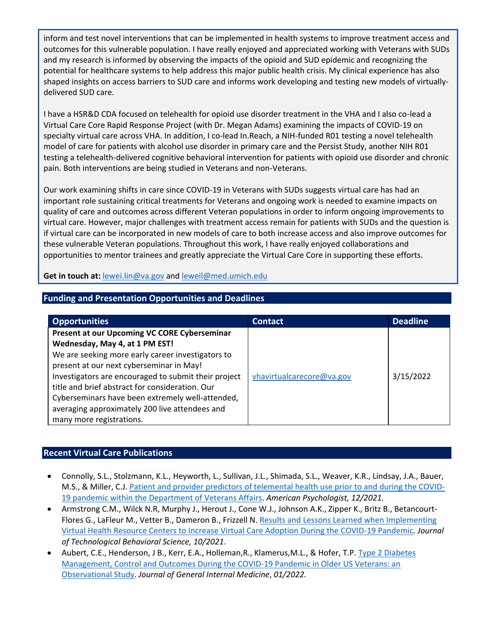inform and test novel interventions that can be implemented in health systems to improve treatment access and outcomes for this vulnerable population. I have really enjoyed and appreciated working with Veterans with SUDs and my research is informed by observing the impacts of the opioid and SUD epidemic and recognizing the potential for healthcare systems to help address this major public health crisis. My clinical experience has also shaped insights on access barriers to SUD care and informs work developing and testing new models of virtuallydelivered SUD care.

I have a HSR&D CDA focused on telehealth for opioid use disorder treatment in the VHA and I also co-lead a Virtual Care Core Rapid Response Project (with Dr. Megan Adams) examining the impacts of COVID-19 on specialty virtual care across VHA. In addition, I co-lead In.Reach, a NIH-funded R01 testing a novel telehealth model of care for patients with alcohol use disorder in primary care and the Persist Study, another NIH R01 testing a telehealth-delivered cognitive behavioral intervention for patients with opioid use disorder and chronic pain. Both interventions are being studied in Veterans and non-Veterans.

Our work examining shifts in care since COVID-19 in Veterans with SUDs suggests virtual care has had an important role sustaining critical treatments for Veterans and ongoing work is needed to examine impacts on quality of care and outcomes across different Veteran populations in order to inform ongoing improvements to virtual care. However, major challenges with treatment access remain for patients with SUDs and the question is if virtual care can be incorporated in new models of care to both increase access and also improve outcomes for these vulnerable Veteran populations. Throughout this work, I have really enjoyed collaborations and opportunities to mentor trainees and greatly appreciate the Virtual Care Core in supporting these efforts.

**Get in touch at:** [lewei.lin@va.gov](mailto:lewei.lin@va.gov) and [leweil@med.umich.edu](mailto:leweil@med.umich.edu)

| <b>Funding and Presentation Opportunities and Deadlines</b> |  |
|-------------------------------------------------------------|--|
|                                                             |  |

| <b>Opportunities</b>                                 | <b>Contact</b>            | <b>Deadline</b> |
|------------------------------------------------------|---------------------------|-----------------|
| Present at our Upcoming VC CORE Cyberseminar         |                           |                 |
| Wednesday, May 4, at 1 PM EST!                       |                           |                 |
| We are seeking more early career investigators to    |                           |                 |
| present at our next cyberseminar in May!             |                           |                 |
| Investigators are encouraged to submit their project | vhavirtualcarecore@va.gov | 3/15/2022       |
| title and brief abstract for consideration. Our      |                           |                 |
| Cyberseminars have been extremely well-attended,     |                           |                 |
| averaging approximately 200 live attendees and       |                           |                 |
| many more registrations.                             |                           |                 |

# <span id="page-2-0"></span>**Recent Virtual Care Publications**

- Connolly, S.L., Stolzmann, K.L., Heyworth, L., Sullivan, J.L., Shimada, S.L., Weaver, K.R., Lindsay, J.A., Bauer, M.S., & Miller, C.J[. Patient and provider predictors of telemental health use prior to and during the COVID-](https://psycnet.apa.org/record/2022-16339-001)[19 pandemic within the Department of Veterans Affairs.](https://psycnet.apa.org/record/2022-16339-001) *American Psychologist, 12/2021.*
- Armstrong C.M., Wilck N.R, Murphy J., Herout J., Cone W.J., Johnson A.K., Zipper K., Britz B., Betancourt-Flores G., LaFleur M., Vetter B., Dameron B., Frizzell N. [Results and Lessons Learned when Implementing](https://link.springer.com/article/10.1007%2Fs41347-021-00227-1)  [Virtual Health Resource Centers to Increase Virtual Care Adoption During the COVID-19 Pandemic](https://link.springer.com/article/10.1007%2Fs41347-021-00227-1)*. Journal of Technological Behavioral Science, 10/2021*.
- Aubert, C.E., Henderson, J B., Kerr, E.A., Holleman,R., Klamerus,M.L., & Hofer, T.P. [Type 2 Diabetes](https://www.ncbi.nlm.nih.gov/pmc/articles/PMC8735737/)  [Management, Control and Outcomes During the COVID-19 Pandemic in Older US Veterans: an](https://www.ncbi.nlm.nih.gov/pmc/articles/PMC8735737/)  [Observational Study.](https://www.ncbi.nlm.nih.gov/pmc/articles/PMC8735737/) *Journal of General Internal Medicine*, *01/2022.*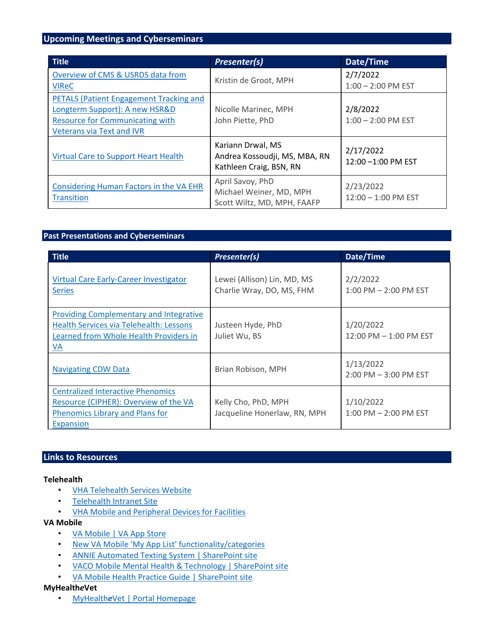#### <span id="page-3-0"></span>**Upcoming Meetings and Cyberseminars**

| <b>Title</b>                                                                                                                                            | Presenter(s)                                                                  | Date/Time                          |
|---------------------------------------------------------------------------------------------------------------------------------------------------------|-------------------------------------------------------------------------------|------------------------------------|
| Overview of CMS & USRDS data from<br><b>VIReC</b>                                                                                                       | Kristin de Groot, MPH                                                         | 2/7/2022<br>$1:00 - 2:00$ PM EST   |
| PETALS (Patient Engagement Tracking and<br>Longterm Support): A new HSR&D<br><b>Resource for Communicating with</b><br><b>Veterans via Text and IVR</b> | Nicolle Marinec, MPH<br>John Piette, PhD                                      | 2/8/2022<br>$1:00 - 2:00$ PM EST   |
| <b>Virtual Care to Support Heart Health</b>                                                                                                             | Kariann Drwal, MS<br>Andrea Kossoudji, MS, MBA, RN<br>Kathleen Craig, BSN, RN | 2/17/2022<br>12:00 -1:00 PM EST    |
| Considering Human Factors in the VA EHR<br><b>Transition</b>                                                                                            | April Savoy, PhD<br>Michael Weiner, MD, MPH<br>Scott Wiltz, MD, MPH, FAAFP    | 2/23/2022<br>$12:00 - 1:00$ PM EST |

#### **Past Presentations and Cyberseminars**

| <b>Title</b>                                                                                                                              | Presenter(s)                                             | Date/Time                              |
|-------------------------------------------------------------------------------------------------------------------------------------------|----------------------------------------------------------|----------------------------------------|
| Virtual Care Early-Career Investigator<br><b>Series</b>                                                                                   | Lewei (Allison) Lin, MD, MS<br>Charlie Wray, DO, MS, FHM | 2/2/2022<br>$1:00$ PM $- 2:00$ PM EST  |
| <b>Providing Complementary and Integrative</b><br>Health Services via Telehealth: Lessons<br>Learned from Whole Health Providers in<br>VA | Justeen Hyde, PhD<br>Juliet Wu, BS                       | 1/20/2022<br>12:00 PM - 1:00 PM EST    |
| <b>Navigating CDW Data</b>                                                                                                                | Brian Robison, MPH                                       | 1/13/2022<br>2:00 PM - 3:00 PM EST     |
| <b>Centralized Interactive Phenomics</b><br>Resource (CIPHER): Overview of the VA<br>Phenomics Library and Plans for<br>Expansion         | Kelly Cho, PhD, MPH<br>Jacqueline Honerlaw, RN, MPH      | 1/10/2022<br>$1:00$ PM $- 2:00$ PM EST |

# <span id="page-3-1"></span>**Links to Resources**

#### **Telehealth**

- [VHA Telehealth Services Website](https://telehealth.va.gov/)
- [Telehealth Intranet Site](https://vaww.telehealth.va.gov/index.asp)
- [VHA Mobile and Peripheral Devices for Facilities](https://vaww.telehealth.va.gov/technology/devices/index.asp)

#### **VA Mobile**

- [VA Mobile | VA App Store](https://mobile.va.gov/)
- [New VA Mobile 'My App List' functionality/categories](https://mobile.va.gov/my-app-list)
- [ANNIE Automated Texting System | SharePoint site](https://dvagov.sharepoint.com/sites/VHACCSTAFFvamobile/ANNIE/SitePages/Home.aspx)
- [VACO Mobile Mental Health & Technology | SharePoint site](https://dvagov.sharepoint.com/sites/VACOMentalHealth/mobile/Pages/home.aspx)
- [VA Mobile Health Practice Guide | SharePoint site](https://dvagov.sharepoint.com/sites/VHACCchi/coeProjectPlanDocs/VA%20Mobile%20Health%20Practice%20Guide%20(Armstrong%20et%20al.,%202021).pdf)

#### **MyHealth***e***Vet**

• [MyHealth](https://www.myhealth.va.gov/mhv-portal-web/home)*[e](https://www.myhealth.va.gov/mhv-portal-web/home)*[Vet](https://www.myhealth.va.gov/mhv-portal-web/home) [| Portal Homepage](https://www.myhealth.va.gov/mhv-portal-web/home)